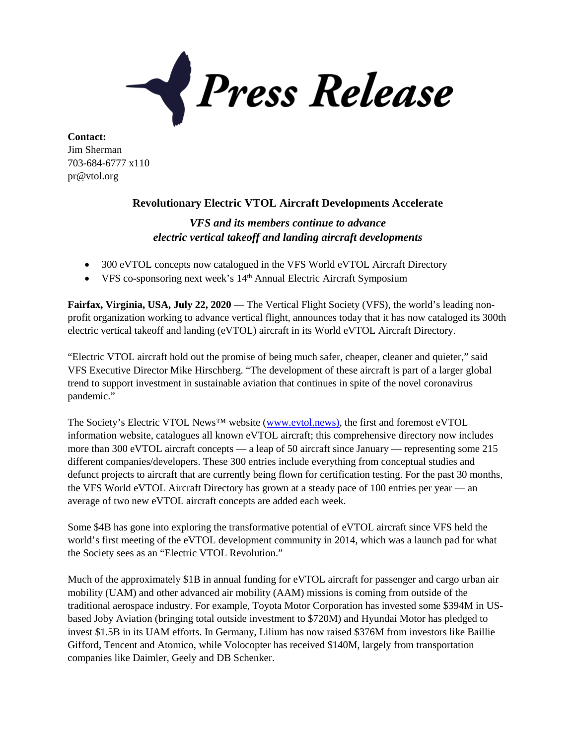Press Release

**Contact:** Jim Sherman 703-684-6777 x110 pr@vtol.org

## **Revolutionary Electric VTOL Aircraft Developments Accelerate**

## *VFS and its members continue to advance electric vertical takeoff and landing aircraft developments*

- 300 eVTOL concepts now catalogued in the VFS World eVTOL Aircraft Directory
- VFS co-sponsoring next week's 14<sup>th</sup> Annual Electric Aircraft Symposium

**Fairfax, Virginia, USA, July 22, 2020** — The Vertical Flight Society (VFS), the world's leading nonprofit organization working to advance vertical flight, announces today that it has now cataloged its 300th electric vertical takeoff and landing (eVTOL) aircraft in its World eVTOL Aircraft Directory.

"Electric VTOL aircraft hold out the promise of being much safer, cheaper, cleaner and quieter," said VFS Executive Director Mike Hirschberg. "The development of these aircraft is part of a larger global trend to support investment in sustainable aviation that continues in spite of the novel coronavirus pandemic."

The Society's Electric VTOL News™ website [\(www.evtol.news\)](https://www.evtol.news/), the first and foremost eVTOL information website, catalogues all known eVTOL aircraft; this comprehensive directory now includes more than 300 eVTOL aircraft concepts — a leap of 50 aircraft since January — representing some 215 different companies/developers. These 300 entries include everything from conceptual studies and defunct projects to aircraft that are currently being flown for certification testing. For the past 30 months, the VFS World eVTOL Aircraft Directory has grown at a steady pace of 100 entries per year — an average of two new eVTOL aircraft concepts are added each week.

Some \$4B has gone into exploring the transformative potential of eVTOL aircraft since VFS held the world's first meeting of the eVTOL development community in 2014, which was a launch pad for what the Society sees as an "Electric VTOL Revolution."

Much of the approximately \$1B in annual funding for eVTOL aircraft for passenger and cargo urban air mobility (UAM) and other advanced air mobility (AAM) missions is coming from outside of the traditional aerospace industry. For example, Toyota Motor Corporation has invested some \$394M in USbased Joby Aviation (bringing total outside investment to \$720M) and Hyundai Motor has pledged to invest \$1.5B in its UAM efforts. In Germany, Lilium has now raised \$376M from investors like Baillie Gifford, Tencent and Atomico, while Volocopter has received \$140M, largely from transportation companies like Daimler, Geely and DB Schenker.